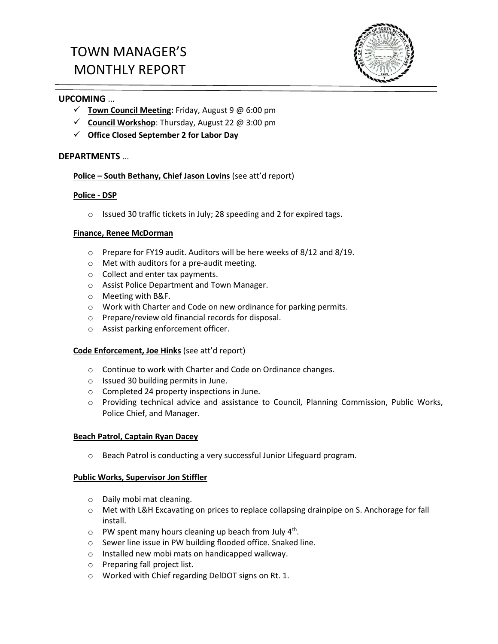# TOWN MANAGER'S MONTHLY REPORT



## **UPCOMING** …

- ✓ **Town Council Meeting:** Friday, August 9 @ 6:00 pm
- ✓ **Council Workshop**: Thursday, August 22 @ 3:00 pm
- ✓ **Office Closed September 2 for Labor Day**

### **DEPARTMENTS** …

### **Police – South Bethany, Chief Jason Lovins** (see att'd report)

#### **Police - DSP**

o Issued 30 traffic tickets in July; 28 speeding and 2 for expired tags.

#### **Finance, Renee McDorman**

- o Prepare for FY19 audit. Auditors will be here weeks of 8/12 and 8/19.
- o Met with auditors for a pre-audit meeting.
- o Collect and enter tax payments.
- o Assist Police Department and Town Manager.
- o Meeting with B&F.
- o Work with Charter and Code on new ordinance for parking permits.
- o Prepare/review old financial records for disposal.
- o Assist parking enforcement officer.

#### **Code Enforcement, Joe Hinks** (see att'd report)

- o Continue to work with Charter and Code on Ordinance changes.
- o Issued 30 building permits in June.
- o Completed 24 property inspections in June.
- o Providing technical advice and assistance to Council, Planning Commission, Public Works, Police Chief, and Manager.

#### **Beach Patrol, Captain Ryan Dacey**

o Beach Patrol is conducting a very successful Junior Lifeguard program.

#### **Public Works, Supervisor Jon Stiffler**

- o Daily mobi mat cleaning.
- o Met with L&H Excavating on prices to replace collapsing drainpipe on S. Anchorage for fall install.
- $\circ$  PW spent many hours cleaning up beach from July 4<sup>th</sup>.
- o Sewer line issue in PW building flooded office. Snaked line.
- o Installed new mobi mats on handicapped walkway.
- o Preparing fall project list.
- o Worked with Chief regarding DelDOT signs on Rt. 1.